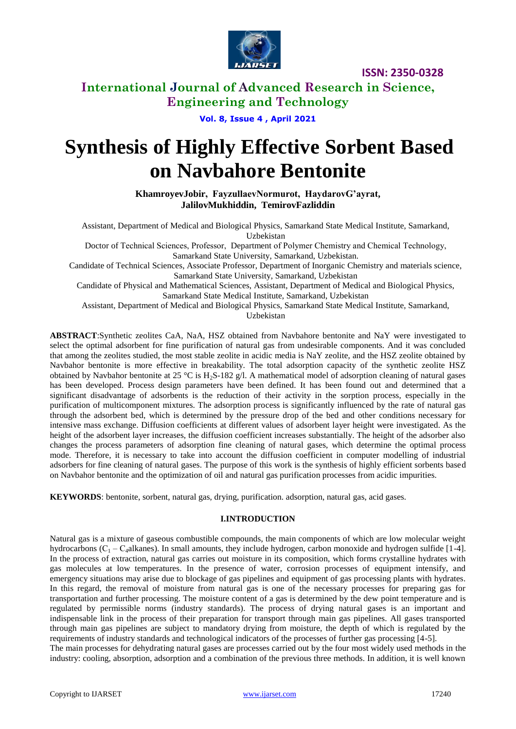

# **International Journal of Advanced Research in Science, Engineering and Technology**

**Vol. 8, Issue 4 , April 2021**

# **Synthesis of Highly Effective Sorbent Based on Navbahore Bentonite**

**KhamroyevJobir, FayzullaevNоrmurоt, HaydarovG'ayrat, JalilovMukhiddin, TemirovFazliddin**

Assistant, Department of Medical and Biological Physics, Samarkand State Medical Institute, Samarkand, Uzbekistan

Doctor of Technical Sciences, Рrоfessоr, Department оf Роlymer Chemistry and Chemical Technоlоgy, Samarkand State University, Samarkand, Uzbekistan.

Candidate of Technical Sciences, Associate Professor, Department of Inorganic Chemistry and materials science, Samarkand State University, Samarkand, Uzbekistan

Candidate of Physical and Mathematical Sciences, Assistant, Department of Medical and Biological Physics, Samarkand State Medical Institute, Samarkand, Uzbekistan

Assistant, Department of Medical and Biological Physics, Samarkand State Medical Institute, Samarkand,

Uzbekistan

**ABSTRACT**:Synthetic zeolites CaA, NaA, HSZ obtained from Navbahore bentonite and NaY were investigated to select the optimal adsorbent for fine purification of natural gas from undesirable components. And it was concluded that among the zeolites studied, the most stable zeolite in acidic media is NaY zeolite, and the HSZ zeolite obtained by Navbahor bentonite is more effective in breakability. The total adsorption capacity of the synthetic zeolite HSZ obtained by Navbahor bentonite at 25 °C is H<sub>2</sub>S-182 g/l. A mathematical model of adsorption cleaning of natural gases has been developed. Process design parameters have been defined. It has been found out and determined that a significant disadvantage of adsorbents is the reduction of their activity in the sorption process, especially in the purification of multicomponent mixtures. The adsorption process is significantly influenced by the rate of natural gas through the adsorbent bed, which is determined by the pressure drop of the bed and other conditions necessary for intensive mass exchange. Diffusion coefficients at different values of adsorbent layer height were investigated. As the height of the adsorbent layer increases, the diffusion coefficient increases substantially. The height of the adsorber also changes the process parameters of adsorption fine cleaning of natural gases, which determine the optimal process mode. Therefore, it is necessary to take into account the diffusion coefficient in computer modelling of industrial adsorbers for fine cleaning of natural gases. The purpose of this work is the synthesis of highly efficient sorbents based on Navbahor bentonite and the optimization of oil and natural gas purification processes from acidic impurities.

**KEYWORDS**: bentonite, sorbent, natural gas, drying, purification. adsorption, natural gas, acid gases.

#### **I.INTRODUCTION**

Natural gas is a mixture of gaseous combustible compounds, the main components of which are low molecular weight hydrocarbons  $(C_1 - C_4$ alkanes). In small amounts, they include hydrogen, carbon monoxide and hydrogen sulfide [1-4]. In the process of extraction, natural gas carries out moisture in its composition, which forms crystalline hydrates with gas molecules at low temperatures. In the presence of water, corrosion processes of equipment intensify, and emergency situations may arise due to blockage of gas pipelines and equipment of gas processing plants with hydrates. In this regard, the removal of moisture from natural gas is one of the necessary processes for preparing gas for transportation and further processing. The moisture content of a gas is determined by the dew point temperature and is regulated by permissible norms (industry standards). The process of drying natural gases is an important and indispensable link in the process of their preparation for transport through main gas pipelines. All gases transported through main gas pipelines are subject to mandatory drying from moisture, the depth of which is regulated by the requirements of industry standards and technological indicators of the processes of further gas processing [4-5].

The main processes for dehydrating natural gases are processes carried out by the four most widely used methods in the industry: cooling, absorption, adsorption and a combination of the previous three methods. In addition, it is well known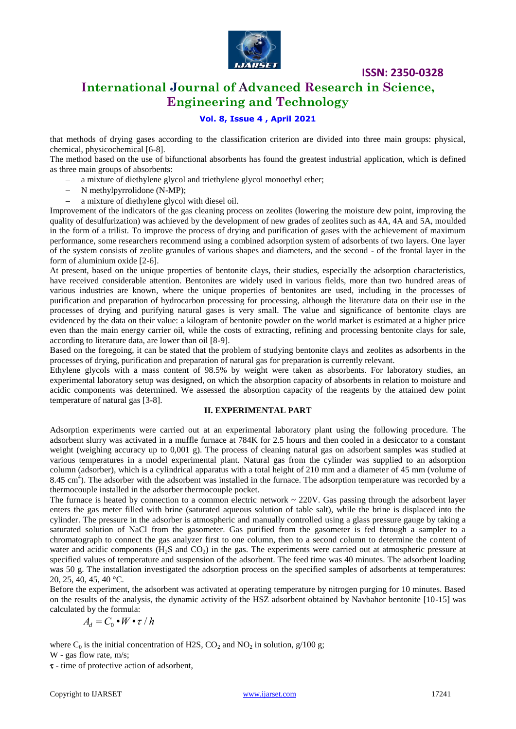

# **International Journal of Advanced Research in Science, Engineering and Technology**

## **Vol. 8, Issue 4 , April 2021**

that methods of drying gases according to the classification criterion are divided into three main groups: physical, chemical, physicochemical [6-8].

The method based on the use of bifunctional absorbents has found the greatest industrial application, which is defined as three main groups of absorbents:

- a mixture of diethylene glycol and triethylene glycol monoethyl ether;
- N methylpyrrolidone (N-MP);
- a mixture of diethylene glycol with diesel oil.

Improvement of the indicators of the gas cleaning process on zeolites (lowering the moisture dew point, improving the quality of desulfurization) was achieved by the development of new grades of zeolites such as 4A, 4A and 5A, moulded in the form of a trilist. To improve the process of drying and purification of gases with the achievement of maximum performance, some researchers recommend using a combined adsorption system of adsorbents of two layers. One layer of the system consists of zeolite granules of various shapes and diameters, and the second - of the frontal layer in the form of aluminium oxide [2-6].

At present, based on the unique properties of bentonite clays, their studies, especially the adsorption characteristics, have received considerable attention. Bentonites are widely used in various fields, more than two hundred areas of various industries are known, where the unique properties of bentonites are used, including in the processes of purification and preparation of hydrocarbon processing for processing, although the literature data on their use in the processes of drying and purifying natural gases is very small. The value and significance of bentonite clays are evidenced by the data on their value: a kilogram of bentonite powder on the world market is estimated at a higher price even than the main energy carrier oil, while the costs of extracting, refining and processing bentonite clays for sale, according to literature data, are lower than oil [8-9].

Based on the foregoing, it can be stated that the problem of studying bentonite clays and zeolites as adsorbents in the processes of drying, purification and preparation of natural gas for preparation is currently relevant.

Ethylene glycols with a mass content of 98.5% by weight were taken as absorbents. For laboratory studies, an experimental laboratory setup was designed, on which the absorption capacity of absorbents in relation to moisture and acidic components was determined. We assessed the absorption capacity of the reagents by the attained dew point temperature of natural gas [3-8].

#### **II. EXPERIMENTAL PART**

Adsorption experiments were carried out at an experimental laboratory plant using the following procedure. The adsorbent slurry was activated in a muffle furnace at 784K for 2.5 hours and then cooled in a desiccator to a constant weight (weighing accuracy up to 0,001 g). The process of cleaning natural gas on adsorbent samples was studied at various temperatures in a model experimental plant. Natural gas from the cylinder was supplied to an adsorption column (adsorber), which is a cylindrical apparatus with a total height of 210 mm and a diameter of 45 mm (volume of 8.45 cm<sup>4</sup>). The adsorber with the adsorbent was installed in the furnace. The adsorption temperature was recorded by a thermocouple installed in the adsorber thermocouple pocket.

The furnace is heated by connection to a common electric network  $\sim$  220V. Gas passing through the adsorbent layer enters the gas meter filled with brine (saturated aqueous solution of table salt), while the brine is displaced into the cylinder. The pressure in the adsorber is atmospheric and manually controlled using a glass pressure gauge by taking a saturated solution of NaCl from the gasometer. Gas purified from the gasometer is fed through a sampler to a chromatograph to connect the gas analyzer first to one column, then to a second column to determine the content of water and acidic components  $(H<sub>2</sub>S$  and  $CO<sub>2</sub>)$  in the gas. The experiments were carried out at atmospheric pressure at specified values of temperature and suspension of the adsorbent. The feed time was 40 minutes. The adsorbent loading was 50 g. The installation investigated the adsorption process on the specified samples of adsorbents at temperatures: 20, 25, 40, 45, 40 °C.

Before the experiment, the adsorbent was activated at operating temperature by nitrogen purging for 10 minutes. Based on the results of the analysis, the dynamic activity of the HSZ adsorbent obtained by Navbahor bentonite [10-15] was calculated by the formula:

$$
A_d = C_0 \bullet W \bullet \tau / h
$$

where  $C_0$  is the initial concentration of H2S,  $CO_2$  and NO<sub>2</sub> in solution, g/100 g; W - gas flow rate, m/s;

 $\tau$  - time of protective action of adsorbent,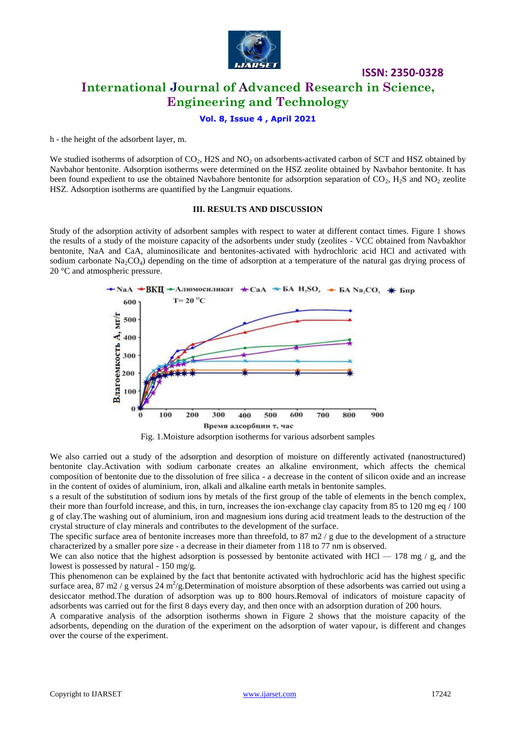

# **International Journal of Advanced Research in Science, Engineering and Technology**

**ISSN: 2350-0328**

### **Vol. 8, Issue 4 , April 2021**

h - the height of the adsorbent layer, m.

We studied isotherms of adsorption of  $CO<sub>2</sub>$ , H2S and NO<sub>2</sub> on adsorbents-activated carbon of SCT and HSZ obtained by Navbahor bentonite. Adsorption isotherms were determined on the HSZ zeolite obtained by Navbahor bentonite. It has been found expedient to use the obtained Navbahore bentonite for adsorption separation of  $CO<sub>2</sub>$ , H<sub>2</sub>S and NO<sub>2</sub> zeolite HSZ. Adsorption isotherms are quantified by the Langmuir equations.

#### **III. RESULTS AND DISCUSSION**

Study of the adsorption activity of adsorbent samples with respect to water at different contact times. Figure 1 shows the results of a study of the moisture capacity of the adsorbents under study (zeolites - VCC obtained from Navbakhor bentonite, NaA and CaA, aluminosilicate and bentonites-activated with hydrochloric acid HCl and activated with sodium carbonate  $\text{Na}_2\text{CO}_4$ ) depending on the time of adsorption at a temperature of the natural gas drying process of 20 °C and atmospheric pressure.





We also carried out a study of the adsorption and desorption of moisture on differently activated (nanostructured) bentonite clay.Activation with sodium carbonate creates an alkaline environment, which affects the chemical composition of bentonite due to the dissolution of free silica - a decrease in the content of silicon oxide and an increase in the content of oxides of aluminium, iron, alkali and alkaline earth metals in bentonite samples.

s a result of the substitution of sodium ions by metals of the first group of the table of elements in the bench complex, their more than fourfold increase, and this, in turn, increases the ion-exchange clay capacity from 85 to 120 mg eq / 100 g of clay.The washing out of aluminium, iron and magnesium ions during acid treatment leads to the destruction of the crystal structure of clay minerals and contributes to the development of the surface.

The specific surface area of bentonite increases more than threefold, to  $87 \text{ m}2$  / g due to the development of a structure characterized by a smaller pore size - a decrease in their diameter from 118 to 77 nm is observed.

We can also notice that the highest adsorption is possessed by bentonite activated with HCl  $-$  178 mg / g, and the lowest is possessed by natural - 150 mg/g.

This phenomenon can be explained by the fact that bentonite activated with hydrochloric acid has the highest specific surface area, 87 m2 / g versus 24 m<sup>2</sup>/g.Determination of moisture absorption of these adsorbents was carried out using a desiccator method.The duration of adsorption was up to 800 hours.Removal of indicators of moisture capacity of adsorbents was carried out for the first 8 days every day, and then once with an adsorption duration of 200 hours.

A comparative analysis of the adsorption isotherms shown in Figure 2 shows that the moisture capacity of the adsorbents, depending on the duration of the experiment on the adsorption of water vapour, is different and changes over the course of the experiment.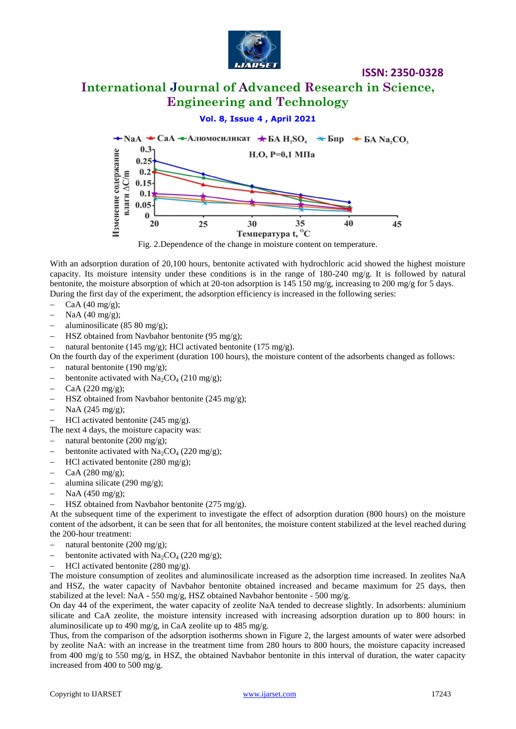

# **International Journal of Advanced Research in Science, Engineering and Technology**

## **Vol. 8, Issue 4 , April 2021**



Fig. 2.Dependence of the change in moisture content on temperature.

With an adsorption duration of 20,100 hours, bentonite activated with hydrochloric acid showed the highest moisture capacity. Its moisture intensity under these conditions is in the range of 180-240 mg/g. It is followed by natural bentonite, the moisture absorption of which at 20-ton adsorption is 145 150 mg/g, increasing to 200 mg/g for 5 days. During the first day of the experiment, the adsorption efficiency is increased in the following series:

- $-$  CaA (40 mg/g);
- NaA (40 mg/g);
- aluminosilicate (85 80 mg/g);
- HSZ obtained from Navbahor bentonite (95 mg/g);
- natural bentonite (145 mg/g); HCl activated bentonite (175 mg/g).

On the fourth day of the experiment (duration 100 hours), the moisture content of the adsorbents changed as follows:

- natural bentonite (190 mg/g);
- bentonite activated with  $Na_2CO_4$  (210 mg/g);
- CaA (220 mg/g);
- $-$  HSZ obtained from Navbahor bentonite (245 mg/g);
- $-$  NaA (245 mg/g);
- $-$  HCl activated bentonite (245 mg/g).

The next 4 days, the moisture capacity was:

- $-$  natural bentonite (200 mg/g);
- bentonite activated with  $Na<sub>2</sub>CO<sub>4</sub>$  (220 mg/g);
- HCl activated bentonite (280 mg/g);
- CaA (280 mg/g);
- $\alpha$  alumina silicate (290 mg/g);
- $-$  NaA (450 mg/g);
- HSZ obtained from Navbahor bentonite (275 mg/g).

At the subsequent time of the experiment to investigate the effect of adsorption duration (800 hours) on the moisture content of the adsorbent, it can be seen that for all bentonites, the moisture content stabilized at the level reached during the 200-hour treatment:

- natural bentonite (200 mg/g);
- bentonite activated with  $\text{Na}_2\text{CO}_4$  (220 mg/g);
- $-$  HCl activated bentonite (280 mg/g).

The moisture consumption of zeolites and aluminosilicate increased as the adsorption time increased. In zeolites NaA and HSZ, the water capacity of Navbahor bentonite obtained increased and became maximum for 25 days, then stabilized at the level: NaA - 550 mg/g, HSZ obtained Navbahor bentonite - 500 mg/g.

On day 44 of the experiment, the water capacity of zeolite NaA tended to decrease slightly. In adsorbents: aluminium silicate and CaA zeolite, the moisture intensity increased with increasing adsorption duration up to 800 hours: in aluminosilicate up to 490 mg/g, in CaA zeolite up to 485 mg/g.

Thus, from the comparison of the adsorption isotherms shown in Figure 2, the largest amounts of water were adsorbed by zeolite NaA: with an increase in the treatment time from 280 hours to 800 hours, the moisture capacity increased from 400 mg/g to 550 mg/g, in HSZ, the obtained Navbahor bentonite in this interval of duration, the water capacity increased from 400 to 500 mg/g.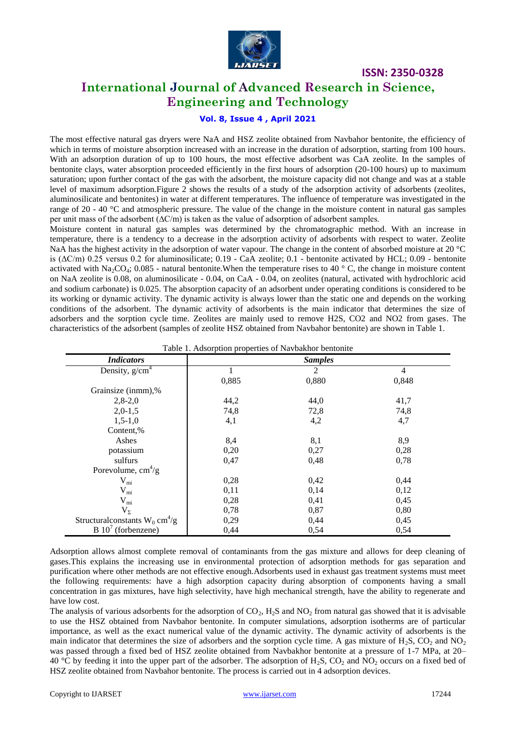

# **International Journal of Advanced Research in Science, Engineering and Technology**

## **Vol. 8, Issue 4 , April 2021**

The most effective natural gas dryers were NaA and HSZ zeolite obtained from Navbahor bentonite, the efficiency of which in terms of moisture absorption increased with an increase in the duration of adsorption, starting from 100 hours. With an adsorption duration of up to 100 hours, the most effective adsorbent was CaA zeolite. In the samples of bentonite clays, water absorption proceeded efficiently in the first hours of adsorption (20-100 hours) up to maximum saturation; upon further contact of the gas with the adsorbent, the moisture capacity did not change and was at a stable level of maximum adsorption.Figure 2 shows the results of a study of the adsorption activity of adsorbents (zeolites, aluminosilicate and bentonites) in water at different temperatures. The influence of temperature was investigated in the range of 20 - 40  $^{\circ}$ C and atmospheric pressure. The value of the change in the moisture content in natural gas samples per unit mass of the adsorbent (ΔC/m) is taken as the value of adsorption of adsorbent samples.

Moisture content in natural gas samples was determined by the chromatographic method. With an increase in temperature, there is a tendency to a decrease in the adsorption activity of adsorbents with respect to water. Zeolite NaA has the highest activity in the adsorption of water vapour. The change in the content of absorbed moisture at 20 °C is  $(\Delta C/m)$  0.25 versus 0.2 for aluminosilicate; 0.19 - CaA zeolite; 0.1 - bentonite activated by HCL; 0.09 - bentonite activated with Na<sub>2</sub>CO<sub>4</sub>; 0.085 - natural bentonite. When the temperature rises to 40 ° C, the change in moisture content on NaA zeolite is 0.08, on aluminosilicate - 0.04, on CaA - 0.04, on zeolites (natural, activated with hydrochloric acid and sodium carbonate) is 0.025. The absorption capacity of an adsorbent under operating conditions is considered to be its working or dynamic activity. The dynamic activity is always lower than the static one and depends on the working conditions of the adsorbent. The dynamic activity of adsorbents is the main indicator that determines the size of adsorbers and the sorption cycle time. Zeolites are mainly used to remove H2S, CO2 and NO2 from gases. The characteristics of the adsorbent (samples of zeolite HSZ obtained from Navbahor bentonite) are shown in Table 1.

| Table 1. Adsorption properties of Paybakhor bentonite |       |                |                |  |
|-------------------------------------------------------|-------|----------------|----------------|--|
| <b>Indicators</b>                                     |       | <b>Samples</b> |                |  |
| Density, $g/cm4$                                      | 1     | 2              | $\overline{4}$ |  |
|                                                       | 0,885 | 0,880          | 0,848          |  |
| Grainsize (inmm),%                                    |       |                |                |  |
| $2,8-2,0$                                             | 44,2  | 44,0           | 41,7           |  |
| $2,0-1,5$                                             | 74,8  | 72,8           | 74,8           |  |
| $1,5-1,0$                                             | 4,1   | 4,2            | 4,7            |  |
| Content,%                                             |       |                |                |  |
| Ashes                                                 | 8,4   | 8,1            | 8,9            |  |
| potassium                                             | 0,20  | 0,27           | 0,28           |  |
| sulfurs                                               | 0,47  | 0,48           | 0,78           |  |
| Porevolume, $cm^4/g$                                  |       |                |                |  |
| $V_{mi}$                                              | 0,28  | 0,42           | 0,44           |  |
| $V_{mi}$                                              | 0,11  | 0,14           | 0,12           |  |
| $V_{mi}$                                              | 0,28  | 0,41           | 0,45           |  |
| $V_{\Sigma}$                                          | 0,78  | 0,87           | 0,80           |  |
| Structural constants $W_0$ cm <sup>4</sup> /g         | 0,29  | 0,44           | 0,45           |  |
| $B 107$ (forbenzene)                                  | 0,44  | 0,54           | 0,54           |  |

Table 1. Adsorption properties of Navbakhor bentonite

Adsorption allows almost complete removal of contaminants from the gas mixture and allows for deep cleaning of gases.This explains the increasing use in environmental protection of adsorption methods for gas separation and purification where other methods are not effective enough.Adsorbents used in exhaust gas treatment systems must meet the following requirements: have a high adsorption capacity during absorption of components having a small concentration in gas mixtures, have high selectivity, have high mechanical strength, have the ability to regenerate and have low cost.

The analysis of various adsorbents for the adsorption of  $CO<sub>2</sub>$ , H<sub>2</sub>S and NO<sub>2</sub> from natural gas showed that it is advisable to use the HSZ obtained from Navbahor bentonite. In computer simulations, adsorption isotherms are of particular importance, as well as the exact numerical value of the dynamic activity. The dynamic activity of adsorbents is the main indicator that determines the size of adsorbers and the sorption cycle time. A gas mixture of H<sub>2</sub>S, CO<sub>2</sub> and NO<sub>2</sub> was passed through a fixed bed of HSZ zeolite obtained from Navbakhor bentonite at a pressure of 1-7 MPa, at 20– 40 °C by feeding it into the upper part of the adsorber. The adsorption of H<sub>2</sub>S, CO<sub>2</sub> and NO<sub>2</sub> occurs on a fixed bed of HSZ zeolite obtained from Navbahor bentonite. The process is carried out in 4 adsorption devices.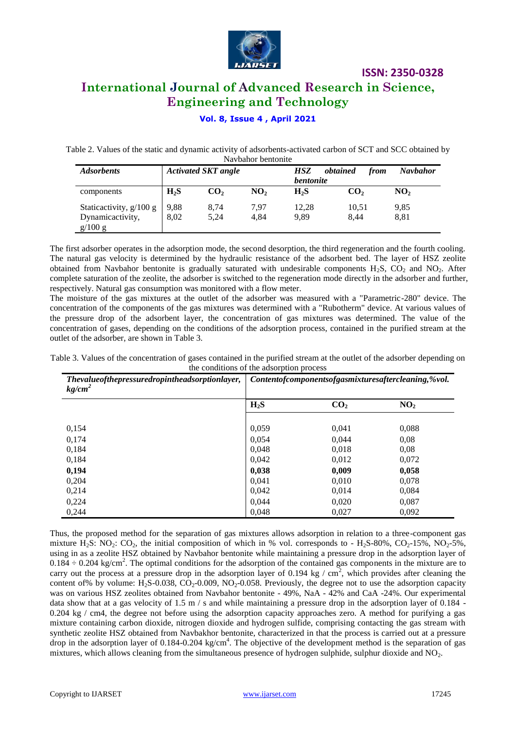

# **International Journal of Advanced Research in Science, Engineering and Technology**

## **Vol. 8, Issue 4 , April 2021**

Table 2. Values of the static and dynamic activity of adsorbents-activated carbon of SCT and SCC obtained by Navbahor bentonite

| 1 va v odnor ochtomic       |                            |      |                                                    |                  |       |                 |                 |
|-----------------------------|----------------------------|------|----------------------------------------------------|------------------|-------|-----------------|-----------------|
| <b>Adsorbents</b>           | <b>Activated SKT</b> angle |      | obtained<br><b>HSZ</b><br>from<br><i>bentonite</i> |                  |       | <b>Navbahor</b> |                 |
| components                  | $H_2S$                     | CO,  | NO <sub>2</sub>                                    | H <sub>2</sub> S | CO,   |                 | NO <sub>2</sub> |
| Staticactivity, g/100 g     | 9,88                       | 8.74 | 7.97                                               | 12.28            | 10,51 |                 | 9,85            |
| Dynamicactivity,<br>g/100 g | 8.02                       | 5,24 | 4.84                                               | 9,89             | 8.44  |                 | 8,81            |

The first adsorber operates in the adsorption mode, the second desorption, the third regeneration and the fourth cooling. The natural gas velocity is determined by the hydraulic resistance of the adsorbent bed. The layer of HSZ zeolite obtained from Navbahor bentonite is gradually saturated with undesirable components  $H_2S$ ,  $CO_2$  and  $NO_2$ . After complete saturation of the zeolite, the adsorber is switched to the regeneration mode directly in the adsorber and further, respectively. Natural gas consumption was monitored with a flow meter.

The moisture of the gas mixtures at the outlet of the adsorber was measured with a "Parametric-280" device. The concentration of the components of the gas mixtures was determined with a "Rubotherm" device. At various values of the pressure drop of the adsorbent layer, the concentration of gas mixtures was determined. The value of the concentration of gases, depending on the conditions of the adsorption process, contained in the purified stream at the outlet of the adsorber, are shown in Table 3.

| Table 3. Values of the concentration of gases contained in the purified stream at the outlet of the adsorber depending on |  |
|---------------------------------------------------------------------------------------------------------------------------|--|
| the conditions of the adsorption process                                                                                  |  |

| Thevalueofthepressuredropintheadsorptionlayer,<br>kg/cm <sup>2</sup> | Contentofcomponentsofgasmixturesaftercleaning,%vol. |                 |                 |  |
|----------------------------------------------------------------------|-----------------------------------------------------|-----------------|-----------------|--|
|                                                                      | $H_2S$                                              | CO <sub>2</sub> | NO <sub>2</sub> |  |
| 0,154                                                                | 0,059                                               | 0,041           | 0,088           |  |
| 0,174                                                                | 0.054                                               | 0.044           | 0,08            |  |
| 0,184                                                                | 0,048                                               | 0.018           | 0,08            |  |
| 0,184                                                                | 0,042                                               | 0,012           | 0,072           |  |
| 0,194                                                                | 0,038                                               | 0,009           | 0,058           |  |
| 0,204                                                                | 0,041                                               | 0,010           | 0,078           |  |
| 0,214                                                                | 0,042                                               | 0,014           | 0,084           |  |
| 0,224                                                                | 0.044                                               | 0,020           | 0,087           |  |
| 0,244                                                                | 0,048                                               | 0,027           | 0,092           |  |

Thus, the proposed method for the separation of gas mixtures allows adsorption in relation to a three-component gas mixture H<sub>2</sub>S: NO<sub>2</sub>: CO<sub>2</sub>, the initial composition of which in % vol. corresponds to - H<sub>2</sub>S-80%, CO<sub>2</sub>-15%, NO<sub>2</sub>-5%, using in as a zeolite HSZ obtained by Navbahor bentonite while maintaining a pressure drop in the adsorption layer of  $0.184 \div 0.204$  kg/cm<sup>2</sup>. The optimal conditions for the adsorption of the contained gas components in the mixture are to carry out the process at a pressure drop in the adsorption layer of 0.194 kg /  $\text{cm}^2$ , which provides after cleaning the content of% by volume:  $H_2S-0.038$ ,  $CO_2-0.009$ ,  $NO_2-0.058$ . Previously, the degree not to use the adsorption capacity was on various HSZ zeolites obtained from Navbahor bentonite - 49%, NaA - 42% and CaA -24%. Our experimental data show that at a gas velocity of 1.5 m/s and while maintaining a pressure drop in the adsorption layer of 0.184 -0.204 kg / cm4, the degree not before using the adsorption capacity approaches zero. A method for purifying a gas mixture containing carbon dioxide, nitrogen dioxide and hydrogen sulfide, comprising contacting the gas stream with synthetic zeolite HSZ obtained from Navbakhor bentonite, characterized in that the process is carried out at a pressure drop in the adsorption layer of  $0.184$ -0.204 kg/cm<sup>4</sup>. The objective of the development method is the separation of gas mixtures, which allows cleaning from the simultaneous presence of hydrogen sulphide, sulphur dioxide and NO2.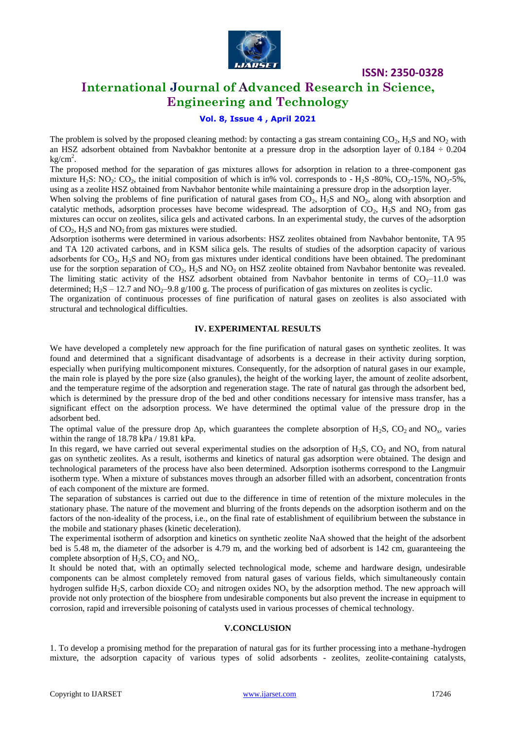

# **International Journal of Advanced Research in Science, Engineering and Technology**

## **Vol. 8, Issue 4 , April 2021**

The problem is solved by the proposed cleaning method: by contacting a gas stream containing  $CO_2$ ,  $H_2S$  and  $NO_2$  with an HSZ adsorbent obtained from Navbakhor bentonite at a pressure drop in the adsorption layer of 0.184 ÷ 0.204  $kg/cm<sup>2</sup>$ .

The proposed method for the separation of gas mixtures allows for adsorption in relation to a three-component gas mixture H<sub>2</sub>S: NO<sub>2</sub>: CO<sub>2</sub>, the initial composition of which is in% vol. corresponds to  $-$  H<sub>2</sub>S -80%, CO<sub>2</sub>-15%, NO<sub>2</sub>-5%, using as a zeolite HSZ obtained from Navbahor bentonite while maintaining a pressure drop in the adsorption layer.

When solving the problems of fine purification of natural gases from  $CO_2$ ,  $H_2S$  and  $NO_2$ , along with absorption and catalytic methods, adsorption processes have become widespread. The adsorption of  $CO_2$ ,  $H_2S$  and  $NO_2$  from gas mixtures can occur on zeolites, silica gels and activated carbons. In an experimental study, the curves of the adsorption of  $CO<sub>2</sub>$ , H<sub>2</sub>S and NO<sub>2</sub> from gas mixtures were studied.

Adsorption isotherms were determined in various adsorbents: HSZ zeolites obtained from Navbahor bentonite, TA 95 and TA 120 activated carbons, and in KSM silica gels. The results of studies of the adsorption capacity of various adsorbents for  $CO<sub>2</sub>$ , H<sub>2</sub>S and NO<sub>2</sub> from gas mixtures under identical conditions have been obtained. The predominant use for the sorption separation of  $CO_2$ ,  $H_2S$  and  $NO_2$  on HSZ zeolite obtained from Navbahor bentonite was revealed. The limiting static activity of the HSZ adsorbent obtained from Navbahor bentonite in terms of  $CO<sub>2</sub>$ –11.0 was determined;  $H_2S - 12.7$  and NO<sub>2</sub>–9.8 g/100 g. The process of purification of gas mixtures on zeolites is cyclic.

The organization of continuous processes of fine purification of natural gases on zeolites is also associated with structural and technological difficulties.

#### **IV. EXPERIMENTAL RESULTS**

We have developed a completely new approach for the fine purification of natural gases on synthetic zeolites. It was found and determined that a significant disadvantage of adsorbents is a decrease in their activity during sorption, especially when purifying multicomponent mixtures. Consequently, for the adsorption of natural gases in our example, the main role is played by the pore size (also granules), the height of the working layer, the amount of zeolite adsorbent, and the temperature regime of the adsorption and regeneration stage. The rate of natural gas through the adsorbent bed, which is determined by the pressure drop of the bed and other conditions necessary for intensive mass transfer, has a significant effect on the adsorption process. We have determined the optimal value of the pressure drop in the adsorbent bed.

The optimal value of the pressure drop  $\Delta p$ , which guarantees the complete absorption of H<sub>2</sub>S, CO<sub>2</sub> and NO<sub>x</sub>, varies within the range of 18.78 kPa / 19.81 kPa.

In this regard, we have carried out several experimental studies on the adsorption of  $H_2S$ ,  $CO_2$  and  $NO_x$  from natural gas on synthetic zeolites. As a result, isotherms and kinetics of natural gas adsorption were obtained. The design and technological parameters of the process have also been determined. Adsorption isotherms correspond to the Langmuir isotherm type. When a mixture of substances moves through an adsorber filled with an adsorbent, concentration fronts of each component of the mixture are formed.

The separation of substances is carried out due to the difference in time of retention of the mixture molecules in the stationary phase. The nature of the movement and blurring of the fronts depends on the adsorption isotherm and on the factors of the non-ideality of the process, i.e., on the final rate of establishment of equilibrium between the substance in the mobile and stationary phases (kinetic deceleration).

The experimental isotherm of adsorption and kinetics on synthetic zeolite NaA showed that the height of the adsorbent bed is 5.48 m, the diameter of the adsorber is 4.79 m, and the working bed of adsorbent is 142 cm, guaranteeing the complete absorption of  $H_2S$ ,  $CO_2$  and  $NO_x$ .

It should be noted that, with an optimally selected technological mode, scheme and hardware design, undesirable components can be almost completely removed from natural gases of various fields, which simultaneously contain hydrogen sulfide H<sub>2</sub>S, carbon dioxide CO<sub>2</sub> and nitrogen oxides NO<sub>x</sub> by the adsorption method. The new approach will provide not only protection of the biosphere from undesirable components but also prevent the increase in equipment to corrosion, rapid and irreversible poisoning of catalysts used in various processes of chemical technology.

#### **V.CONCLUSION**

1. To develop a promising method for the preparation of natural gas for its further processing into a methane-hydrogen mixture, the adsorption capacity of various types of solid adsorbents - zeolites, zeolite-containing catalysts,